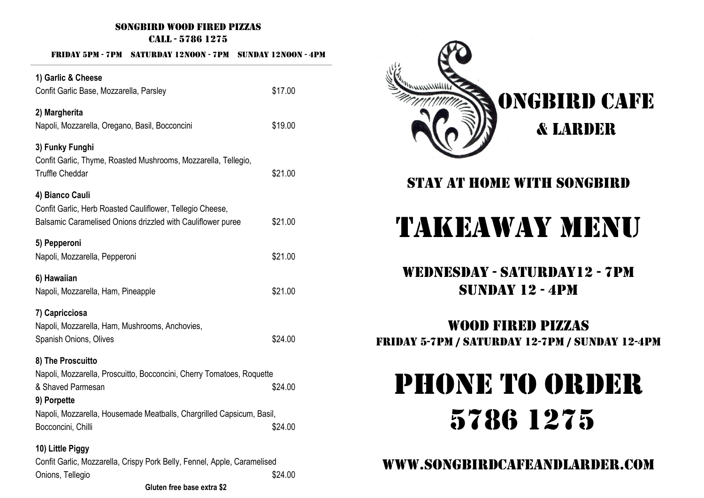#### Songbird wood fired pizzas CALL - 5786 1275

| 1) Garlic & Cheese<br>Confit Garlic Base, Mozzarella, Parsley                                                                                                                                                                 | \$17.00            |
|-------------------------------------------------------------------------------------------------------------------------------------------------------------------------------------------------------------------------------|--------------------|
| 2) Margherita<br>Napoli, Mozzarella, Oregano, Basil, Bocconcini                                                                                                                                                               | \$19.00            |
| 3) Funky Funghi<br>Confit Garlic, Thyme, Roasted Mushrooms, Mozzarella, Tellegio,<br><b>Truffle Cheddar</b>                                                                                                                   | \$21.00            |
| 4) Bianco Cauli<br>Confit Garlic, Herb Roasted Cauliflower, Tellegio Cheese,<br>Balsamic Caramelised Onions drizzled with Cauliflower puree                                                                                   | \$21.00            |
| 5) Pepperoni<br>Napoli, Mozzarella, Pepperoni                                                                                                                                                                                 | \$21.00            |
| 6) Hawaiian<br>Napoli, Mozzarella, Ham, Pineapple                                                                                                                                                                             | \$21.00            |
| 7) Capricciosa<br>Napoli, Mozzarella, Ham, Mushrooms, Anchovies,<br>Spanish Onions, Olives                                                                                                                                    | \$24.00            |
| 8) The Proscuitto<br>Napoli, Mozzarella, Proscuitto, Bocconcini, Cherry Tomatoes, Roquette<br>& Shaved Parmesan<br>9) Porpette<br>Napoli, Mozzarella, Housemade Meatballs, Chargrilled Capsicum, Basil,<br>Bocconcini, Chilli | \$24.00<br>\$24.00 |
| 10) Little Piggy<br>Confit Garlic, Mozzarella, Crispy Pork Belly, Fennel, Apple, Caramelised<br>Onions, Tellegio                                                                                                              | \$24.00            |



## STAY AT HOME WITH SONGBIRD

# TAKEAWAY MENU

Wednesday - SATURDAY12 - 7pm Sunday 12 - 4pm

Wood fired pizzas Friday 5-7pm / Saturday 12-7pm / Sunday 12-4pm

# PHONE TO ORDER 5786 1275

## Www.songbirdcafeandlarder.com

**Gluten free base extra \$2**